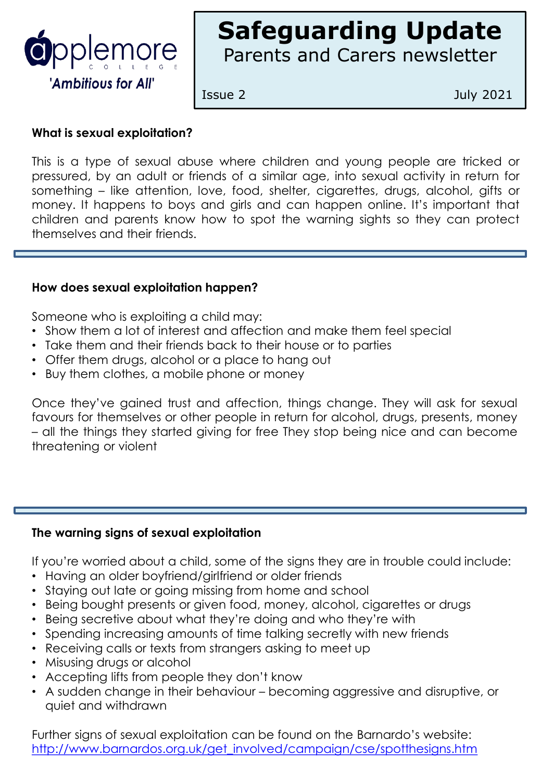

# **Safeguarding Update** Parents and Carers newsletter

Issue 2 July 2021

# **What is sexual exploitation?**

This is a type of sexual abuse where children and young people are tricked or pressured, by an adult or friends of a similar age, into sexual activity in return for something – like attention, love, food, shelter, cigarettes, drugs, alcohol, gifts or money. It happens to boys and girls and can happen online. It's important that children and parents know how to spot the warning sights so they can protect themselves and their friends.

# **How does sexual exploitation happen?**

Someone who is exploiting a child may:

- Show them a lot of interest and affection and make them feel special
- Take them and their friends back to their house or to parties
- Offer them drugs, alcohol or a place to hang out
- Buy them clothes, a mobile phone or money

Once they've gained trust and affection, things change. They will ask for sexual favours for themselves or other people in return for alcohol, drugs, presents, money – all the things they started giving for free They stop being nice and can become threatening or violent

### **The warning signs of sexual exploitation**

If you're worried about a child, some of the signs they are in trouble could include:

- Having an older boyfriend/girlfriend or older friends
- Staying out late or going missing from home and school
- Being bought presents or given food, money, alcohol, cigarettes or drugs
- Being secretive about what they're doing and who they're with
- Spending increasing amounts of time talking secretly with new friends
- Receiving calls or texts from strangers asking to meet up
- Misusing drugs or alcohol
- Accepting lifts from people they don't know
- A sudden change in their behaviour becoming aggressive and disruptive, or quiet and withdrawn

Further signs of sexual exploitation can be found on the Barnardo's website: [http://www.barnardos.org.uk/get\\_involved/campaign/cse/spotthesigns.htm](http://www.barnardos.org.uk/get_involved/campaign/cse/spotthesigns.htm)